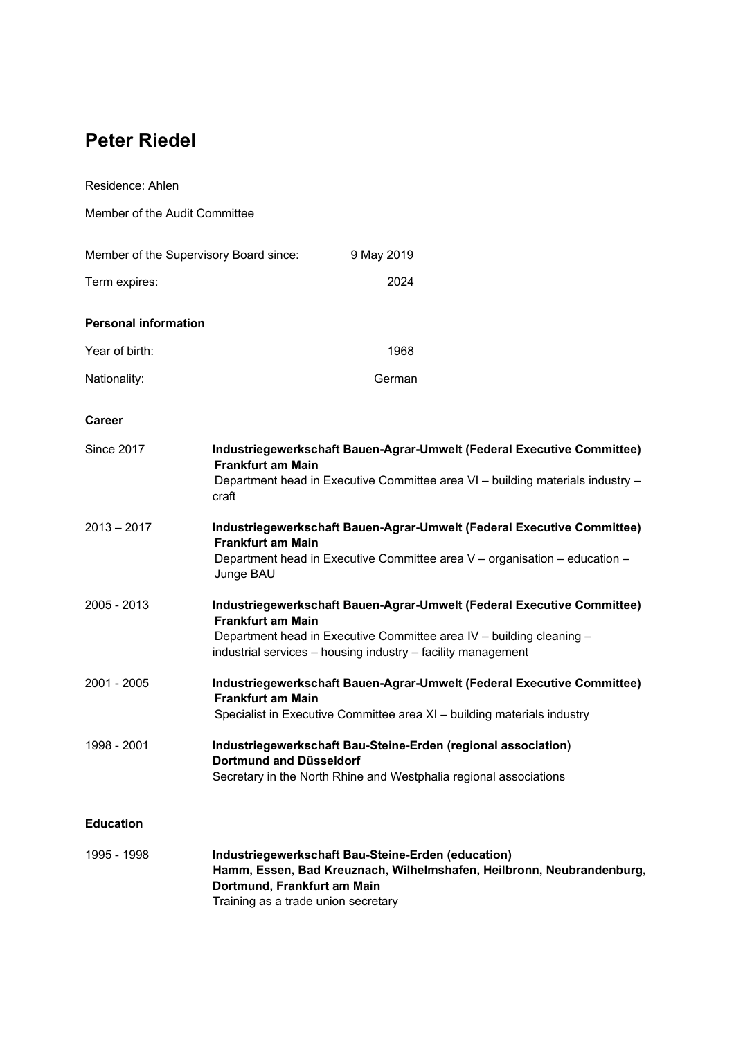# **Peter Riedel**

Residence: Ahlen Member of the Audit Committee Member of the Supervisory Board since: 9 May 2019 Term expires: 2024 **Personal information**  Year of birth: 1968 Nationality: Contract Contract Contract Contract Contract Contract Contract Contract Contract Contract Contract Contract Contract Contract Contract Contract Contract Contract Contract Contract Contract Contract Contract Co **Career**  Since 2017 **Industriegewerkschaft Bauen-Agrar-Umwelt (Federal Executive Committee) Frankfurt am Main**  Department head in Executive Committee area VI – building materials industry – craft 2013 – 2017 **Industriegewerkschaft Bauen-Agrar-Umwelt (Federal Executive Committee) Frankfurt am Main**  Department head in Executive Committee area V – organisation – education – Junge BAU 2005 - 2013 **Industriegewerkschaft Bauen-Agrar-Umwelt (Federal Executive Committee) Frankfurt am Main**  Department head in Executive Committee area IV – building cleaning – industrial services – housing industry – facility management 2001 - 2005 **Industriegewerkschaft Bauen-Agrar-Umwelt (Federal Executive Committee) Frankfurt am Main**  Specialist in Executive Committee area XI – building materials industry 1998 - 2001 **Industriegewerkschaft Bau-Steine-Erden (regional association) Dortmund and Düsseldorf**  Secretary in the North Rhine and Westphalia regional associations

## **Education**

| 1995 - 1998 | Industriegewerkschaft Bau-Steine-Erden (education)                    |
|-------------|-----------------------------------------------------------------------|
|             | Hamm, Essen, Bad Kreuznach, Wilhelmshafen, Heilbronn, Neubrandenburg, |
|             | Dortmund. Frankfurt am Main                                           |
|             | Training as a trade union secretary                                   |